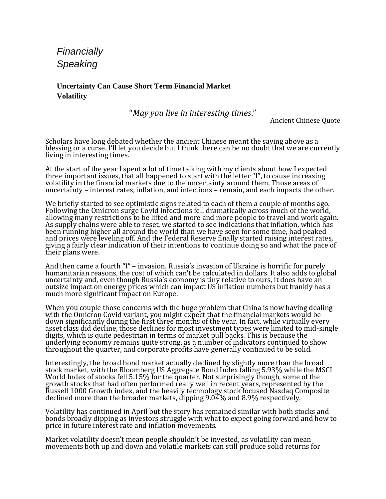*Financially Speaking* 

**Uncertainty Can Cause Short Term Financial Market Volatility**

"*May you live in interesting times*."

Ancient Chinese Quote

Scholars have long debated whether the ancient Chinese meant the saying above as a blessing or a curse. I'll let you decide but I think there can be no doubt that we are currently living in interesting times.

At the start of the year I spent a lot of time talking with my clients about how I expected three important issues, that all happened to start with the letter "I", to cause increasing volatility in the financial markets due to the uncertainty around them. Those areas of uncertainty – interest rates, inflation, and infections – remain, and each impacts the other.

We briefly started to see optimistic signs related to each of them a couple of months ago. Following the Omicron surge Covid infections fell dramatically across much of the world, allowing many restrictions to be lifted and more and more people to travel and work again. As supply chains were able to reset, we started to see indications that inflation, which has been running higher all around the world than we have seen for some time, had peaked and prices were leveling off. And the Federal Reserve finally started raising interest rates, giving a fairly clear indication of their intentions to continue doing so and what the pace of their plans were.

And then came a fourth "I" – invasion. Russia's invasion of Ukraine is horrific for purely humanitarian reasons, the cost of which can't be calculated in dollars. It also adds to global uncertainty and, even though Russia's economy is tiny relative to ours, it does have an outsize impact on energy prices which can impact US inflation numbers but frankly has a much more significant impact on Europe.

When you couple those concerns with the huge problem that China is now having dealing with the Omicron Covid variant, you might expect that the financial markets would be down significantly during the first three months of the year. In fact, while virtually every asset class did decline, those declines for most investment types were limited to mid-single digits, which is quite pedestrian in terms of market pull backs. This is because the underlying economy remains quite strong, as a number of indicators continued to show throughout the quarter, and corporate profits have generally continued to be solid.

Interestingly, the broad bond market actually declined by slightly more than the broad stock market, with the Bloomberg US Aggregate Bond Index falling 5.93% while the MSCI World Index of stocks fell 5.15% for the quarter. Not surprisingly though, some of the growth stocks that had often performed really well in recent years, represented by the Russell 1000 Growth index, and the heavily technology stock focused Nasdaq Composite declined more than the broader markets, dipping 9.04% and 8.9% respectively.

Volatility has continued in April but the story has remained similar with both stocks and bonds broadly dipping as investors struggle with what to expect going forward and how to price in future interest rate and inflation movements.

Market volatility doesn't mean people shouldn't be invested, as volatility can mean movements both up and down and volatile markets can still produce solid returns for